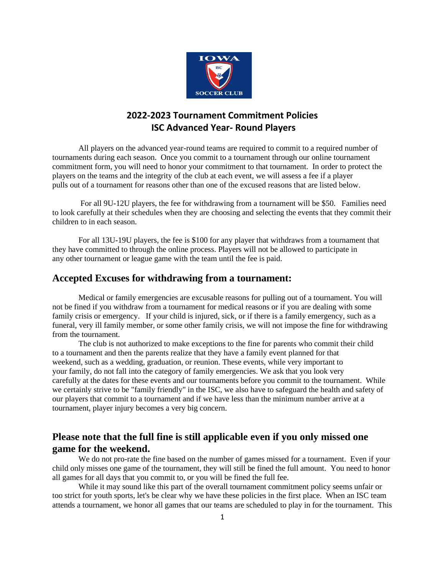

# **2022-2023 Tournament Commitment Policies ISC Advanced Year- Round Players**

All players on the advanced year-round teams are required to commit to a required number of tournaments during each season. Once you commit to a tournament through our online tournament commitment form, you will need to honor your commitment to that tournament. In order to protect the players on the teams and the integrity of the club at each event, we will assess a fee if a player pulls out of a tournament for reasons other than one of the excused reasons that are listed below.

For all 9U-12U players, the fee for withdrawing from a tournament will be \$50. Families need to look carefully at their schedules when they are choosing and selecting the events that they commit their children to in each season.

For all 13U-19U players, the fee is \$100 for any player that withdraws from a tournament that they have committed to through the online process. Players will not be allowed to participate in any other tournament or league game with the team until the fee is paid.

## **Accepted Excuses for withdrawing from a tournament:**

Medical or family emergencies are excusable reasons for pulling out of a tournament. You will not be fined if you withdraw from a tournament for medical reasons or if you are dealing with some family crisis or emergency. If your child is injured, sick, or if there is a family emergency, such as a funeral, very ill family member, or some other family crisis, we will not impose the fine for withdrawing from the tournament.

The club is not authorized to make exceptions to the fine for parents who commit their child to a tournament and then the parents realize that they have a family event planned for that weekend, such as a wedding, graduation, or reunion. These events, while very important to your family, do not fall into the category of family emergencies. We ask that you look very carefully at the dates for these events and our tournaments before you commit to the tournament. While we certainly strive to be "family friendly" in the ISC, we also have to safeguard the health and safety of our players that commit to a tournament and if we have less than the minimum number arrive at a tournament, player injury becomes a very big concern.

## **Please note that the full fine is still applicable even if you only missed one game for the weekend.**

We do not pro-rate the fine based on the number of games missed for a tournament. Even if your child only misses one game of the tournament, they will still be fined the full amount. You need to honor all games for all days that you commit to, or you will be fined the full fee.

While it may sound like this part of the overall tournament commitment policy seems unfair or too strict for youth sports, let's be clear why we have these policies in the first place. When an ISC team attends a tournament, we honor all games that our teams are scheduled to play in for the tournament. This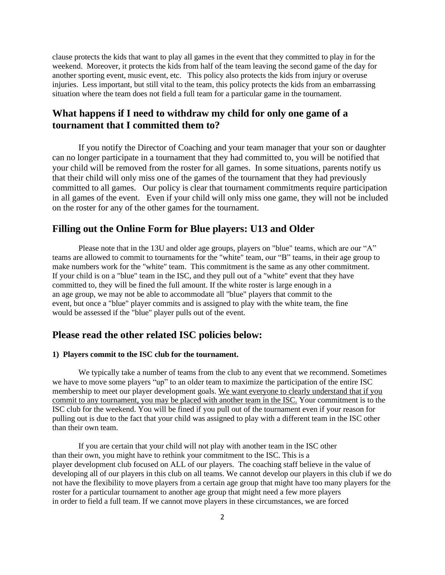clause protects the kids that want to play all games in the event that they committed to play in for the weekend. Moreover, it protects the kids from half of the team leaving the second game of the day for another sporting event, music event, etc. This policy also protects the kids from injury or overuse injuries. Less important, but still vital to the team, this policy protects the kids from an embarrassing situation where the team does not field a full team for a particular game in the tournament.

## **What happens if I need to withdraw my child for only one game of a tournament that I committed them to?**

If you notify the Director of Coaching and your team manager that your son or daughter can no longer participate in a tournament that they had committed to, you will be notified that your child will be removed from the roster for all games. In some situations, parents notify us that their child will only miss one of the games of the tournament that they had previously committed to all games. Our policy is clear that tournament commitments require participation in all games of the event. Even if your child will only miss one game, they will not be included on the roster for any of the other games for the tournament.

### **Filling out the Online Form for Blue players: U13 and Older**

Please note that in the 13U and older age groups, players on "blue" teams, which are our "A" teams are allowed to commit to tournaments for the "white" team, our "B" teams, in their age group to make numbers work for the "white" team. This commitment is the same as any other commitment. If your child is on a "blue" team in the ISC, and they pull out of a "white" event that they have committed to, they will be fined the full amount. If the white roster is large enough in a an age group, we may not be able to accommodate all "blue" players that commit to the event, but once a "blue" player commits and is assigned to play with the white team, the fine would be assessed if the "blue" player pulls out of the event.

## **Please read the other related ISC policies below:**

#### **1) Players commit to the ISC club for the tournament.**

We typically take a number of teams from the club to any event that we recommend. Sometimes we have to move some players "up" to an older team to maximize the participation of the entire ISC membership to meet our player development goals. We want everyone to clearly understand that if you commit to any tournament, you may be placed with another team in the ISC. Your commitment is to the ISC club for the weekend. You will be fined if you pull out of the tournament even if your reason for pulling out is due to the fact that your child was assigned to play with a different team in the ISC other than their own team.

If you are certain that your child will not play with another team in the ISC other than their own, you might have to rethink your commitment to the ISC. This is a player development club focused on ALL of our players. The coaching staff believe in the value of developing all of our players in this club on all teams. We cannot develop our players in this club if we do not have the flexibility to move players from a certain age group that might have too many players for the roster for a particular tournament to another age group that might need a few more players in order to field a full team. If we cannot move players in these circumstances, we are forced